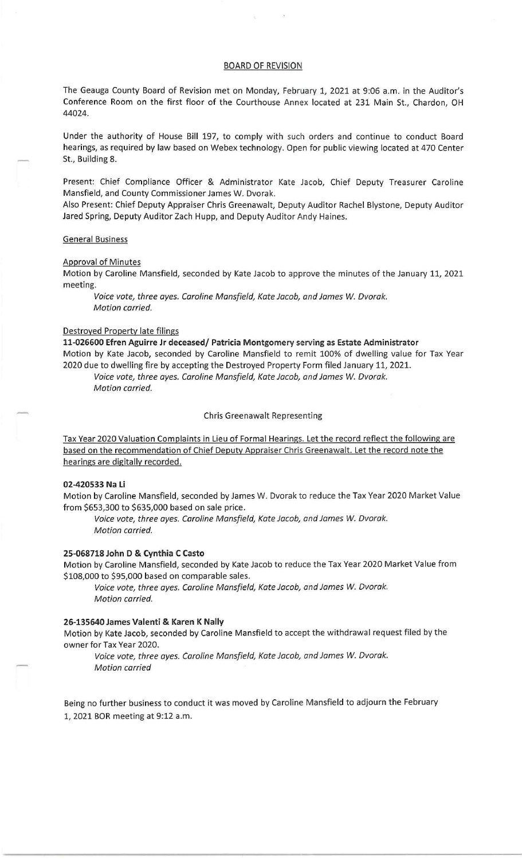## BOARD OF REVISION

The Geauga County Board of Revision met on Monday, February 1, 2021 at 9:06 a.m. in the Auditor's Conference Room on the first floor of the Courthouse Annex located at 231 Main St., Chardon, OH 44024.

Under the authority of House Bill 197, to comply with such orders and continue to conduct Board hearings, as required by law based on Webex technology. Open for public viewing located at 470 Center St., Building 8.

Present: Chief Compliance Officer & Administrator Kate Jacob, Chief Deputy Treasurer Caroline Mansfield, and County Commissioner James W. Dvorak.

Also Present: Chief Deputy Appraiser Chris Greenawalt, Deputy Auditor Rachel Blystone, Deputy Auditor Jared Spring, Deputy Auditor Zach Hupp, and Deputy Auditor Andy Haines.

## General Business

## Approval of Minutes

Motion by Caroline Mansfield, seconded by Kate Jacob to approve the minutes of the January 11, 2021 meeting.

Voice vote, three ayes. Caroline Mansfield, Kate Jacob, and James *W.* Dvorak. Motion carried.

# Destroyed Property late filings

**11-026600 Efren Aguirre Jr deceased/ Patricia Montgomery serving as Estate Administrator**  Motion by Kate Jacob, seconded by Caroline Mansfield to remit 100% of dwelling value for Tax Year 2020 due to dwelling fire by accepting the Destroyed Property Form filed January 11, 2021. Voice vote, three ayes. Caroline Mansfield, Kate Jacob, and James W. Dvorak.

Motion carried.

#### Chris Greenawalt Representing

Tax Year 2020 Valuation Complaints in Lieu of Formal Hearings. Let the record reflect the following are based on the recommendation of Chief Deputy Appraiser Chris Greenawalt. Let the record note the hearings are digitally recorded.

## **02-420533 Na Li**

Motion by Caroline Mansfield, seconded by James W. Dvorak to reduce the Tax Year 2020 Market Value from \$653,300 to \$635,000 based on sale price.

Voice vote, three ayes. Caroline Mansfield, Kate Jacob, and James *W.* Dvorak. Motion carried.

## **25-068718 John D & Cynthia C Casto**

Motion by Caroline Mansfield, seconded by Kate Jacob to reduce the Tax Year 2020 Market Value from \$108,000 to \$95,000 based on comparable sales.

Voice vote, three ayes. Caroline Mansfield, Kate Jacob, and James *W.* Dvorak. Motion carried.

### **26-135640 James Valenti & Karen K Nally**

Motion by Kate Jacob, seconded by Caroline Mansfield to accept the withdrawal request filed by the owner for Tax Year 2020.

Voice vote, three ayes. Caroline Mansfield, Kate Jacob, and James *W.* Dvorak. Motion carried

Being no further business to conduct it was moved by Caroline Mansfield to adjourn the February 1, 2021 BOR meeting at 9:12a.m.